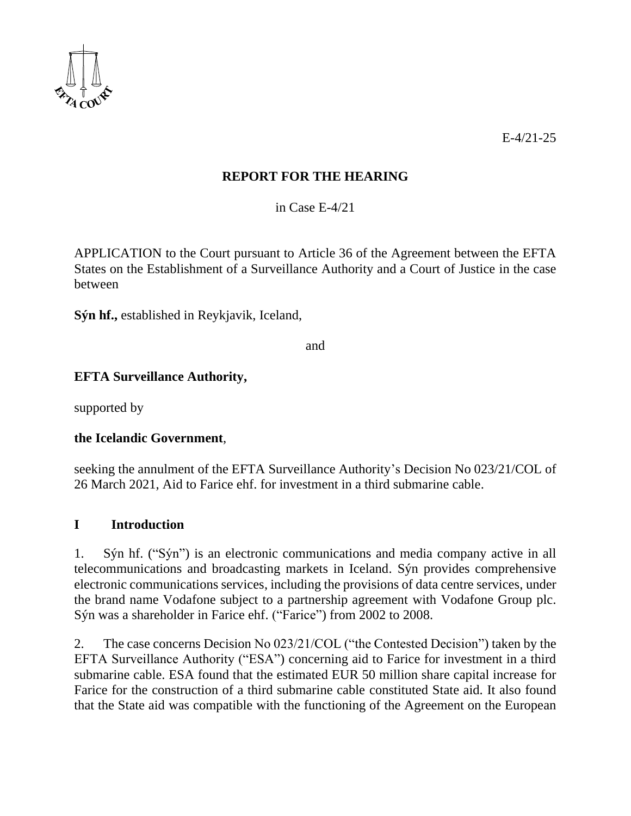

E-4/21-25

## **REPORT FOR THE HEARING**

in Case E-4/21

APPLICATION to the Court pursuant to Article 36 of the Agreement between the EFTA States on the Establishment of a Surveillance Authority and a Court of Justice in the case between

**Sýn hf.,** established in Reykjavik, Iceland,

and

### **EFTA Surveillance Authority,**

supported by

### **the Icelandic Government**,

seeking the annulment of the EFTA Surveillance Authority's Decision No 023/21/COL of 26 March 2021, Aid to Farice ehf. for investment in a third submarine cable.

#### **I Introduction**

1. Sýn hf. ("Sýn") is an electronic communications and media company active in all telecommunications and broadcasting markets in Iceland. Sýn provides comprehensive electronic communications services, including the provisions of data centre services, under the brand name Vodafone subject to a partnership agreement with Vodafone Group plc. Sýn was a shareholder in Farice ehf. ("Farice") from 2002 to 2008.

2. The case concerns Decision No 023/21/COL ("the Contested Decision") taken by the EFTA Surveillance Authority ("ESA") concerning aid to Farice for investment in a third submarine cable. ESA found that the estimated EUR 50 million share capital increase for Farice for the construction of a third submarine cable constituted State aid. It also found that the State aid was compatible with the functioning of the Agreement on the European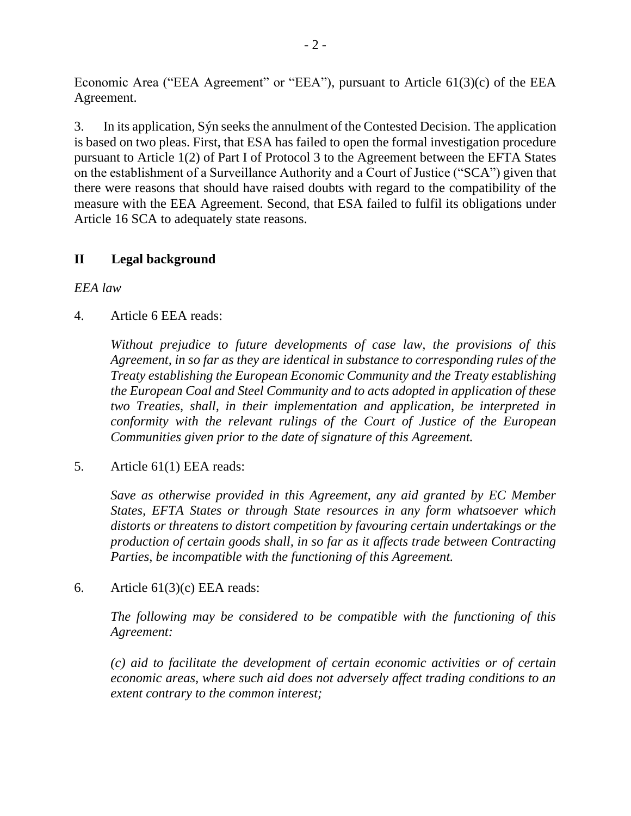Economic Area ("EEA Agreement" or "EEA"), pursuant to Article 61(3)(c) of the EEA Agreement.

3. In its application, Sýn seeks the annulment of the Contested Decision. The application is based on two pleas. First, that ESA has failed to open the formal investigation procedure pursuant to Article 1(2) of Part I of Protocol 3 to the Agreement between the EFTA States on the establishment of a Surveillance Authority and a Court of Justice ("SCA") given that there were reasons that should have raised doubts with regard to the compatibility of the measure with the EEA Agreement. Second, that ESA failed to fulfil its obligations under Article 16 SCA to adequately state reasons.

## **II Legal background**

*EEA law*

4. Article 6 EEA reads:

*Without prejudice to future developments of case law, the provisions of this Agreement, in so far as they are identical in substance to corresponding rules of the Treaty establishing the European Economic Community and the Treaty establishing the European Coal and Steel Community and to acts adopted in application of these two Treaties, shall, in their implementation and application, be interpreted in conformity with the relevant rulings of the Court of Justice of the European Communities given prior to the date of signature of this Agreement.*

5. Article 61(1) EEA reads:

*Save as otherwise provided in this Agreement, any aid granted by EC Member States, EFTA States or through State resources in any form whatsoever which distorts or threatens to distort competition by favouring certain undertakings or the production of certain goods shall, in so far as it affects trade between Contracting Parties, be incompatible with the functioning of this Agreement.*

6. Article  $61(3)(c)$  EEA reads:

*The following may be considered to be compatible with the functioning of this Agreement:*

*(c) aid to facilitate the development of certain economic activities or of certain economic areas, where such aid does not adversely affect trading conditions to an extent contrary to the common interest;*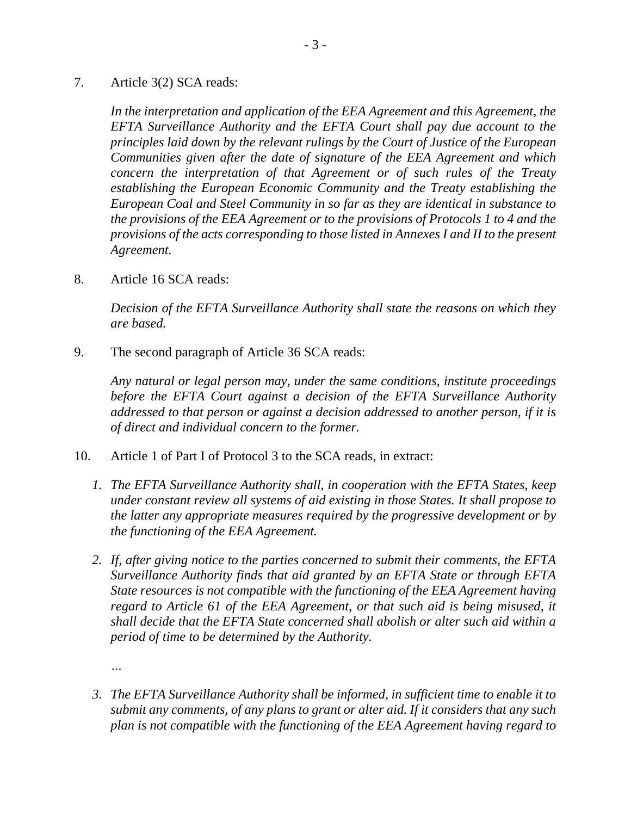7. Article 3(2) SCA reads:

*In the interpretation and application of the EEA Agreement and this Agreement, the EFTA Surveillance Authority and the EFTA Court shall pay due account to the principles laid down by the relevant rulings by the Court of Justice of the European Communities given after the date of signature of the EEA Agreement and which concern the interpretation of that Agreement or of such rules of the Treaty establishing the European Economic Community and the Treaty establishing the European Coal and Steel Community in so far as they are identical in substance to the provisions of the EEA Agreement or to the provisions of Protocols 1 to 4 and the provisions of the acts corresponding to those listed in Annexes I and II to the present Agreement.*

8. Article 16 SCA reads:

*Decision of the EFTA Surveillance Authority shall state the reasons on which they are based.*

9. The second paragraph of Article 36 SCA reads:

*Any natural or legal person may, under the same conditions, institute proceedings before the EFTA Court against a decision of the EFTA Surveillance Authority addressed to that person or against a decision addressed to another person, if it is of direct and individual concern to the former.*

- 10. Article 1 of Part I of Protocol 3 to the SCA reads, in extract:
	- *1. The EFTA Surveillance Authority shall, in cooperation with the EFTA States, keep under constant review all systems of aid existing in those States. It shall propose to the latter any appropriate measures required by the progressive development or by the functioning of the EEA Agreement.*
	- *2. If, after giving notice to the parties concerned to submit their comments, the EFTA Surveillance Authority finds that aid granted by an EFTA State or through EFTA State resources is not compatible with the functioning of the EEA Agreement having regard to Article 61 of the EEA Agreement, or that such aid is being misused, it shall decide that the EFTA State concerned shall abolish or alter such aid within a period of time to be determined by the Authority.*

*…*

*3. The EFTA Surveillance Authority shall be informed, in sufficient time to enable it to submit any comments, of any plans to grant or alter aid. If it considers that any such plan is not compatible with the functioning of the EEA Agreement having regard to*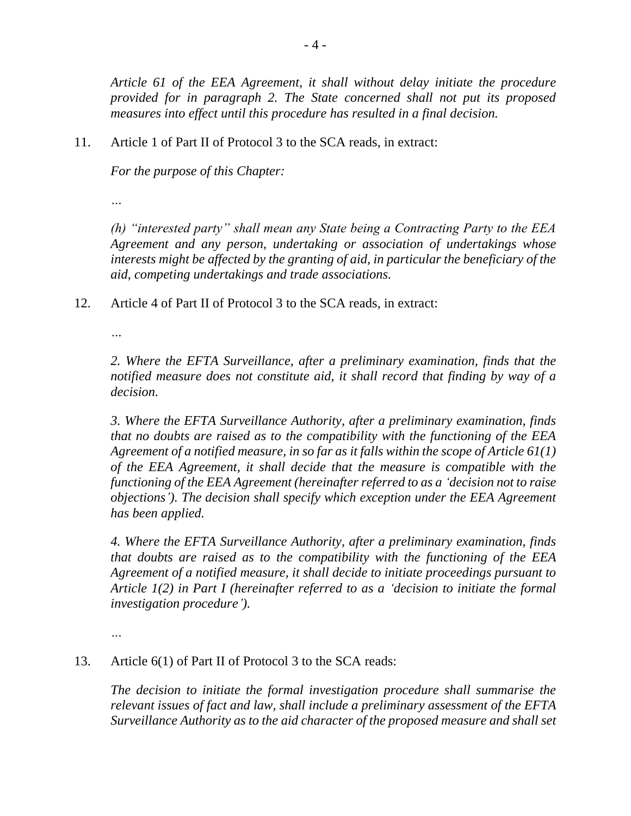*Article 61 of the EEA Agreement, it shall without delay initiate the procedure provided for in paragraph 2. The State concerned shall not put its proposed measures into effect until this procedure has resulted in a final decision.*

11. Article 1 of Part II of Protocol 3 to the SCA reads, in extract:

*For the purpose of this Chapter:*

*…* 

*(h) "interested party" shall mean any State being a Contracting Party to the EEA Agreement and any person, undertaking or association of undertakings whose interests might be affected by the granting of aid, in particular the beneficiary of the aid, competing undertakings and trade associations.*

12. Article 4 of Part II of Protocol 3 to the SCA reads, in extract:

*…*

*2. Where the EFTA Surveillance, after a preliminary examination, finds that the notified measure does not constitute aid, it shall record that finding by way of a decision.*

*3. Where the EFTA Surveillance Authority, after a preliminary examination, finds that no doubts are raised as to the compatibility with the functioning of the EEA Agreement of a notified measure, in so far as it falls within the scope of Article 61(1) of the EEA Agreement, it shall decide that the measure is compatible with the functioning of the EEA Agreement (hereinafter referred to as a 'decision not to raise objections'). The decision shall specify which exception under the EEA Agreement has been applied.*

*4. Where the EFTA Surveillance Authority, after a preliminary examination, finds that doubts are raised as to the compatibility with the functioning of the EEA Agreement of a notified measure, it shall decide to initiate proceedings pursuant to Article 1(2) in Part I (hereinafter referred to as a 'decision to initiate the formal investigation procedure').* 

*…*

### 13. Article 6(1) of Part II of Protocol 3 to the SCA reads:

*The decision to initiate the formal investigation procedure shall summarise the relevant issues of fact and law, shall include a preliminary assessment of the EFTA Surveillance Authority as to the aid character of the proposed measure and shall set*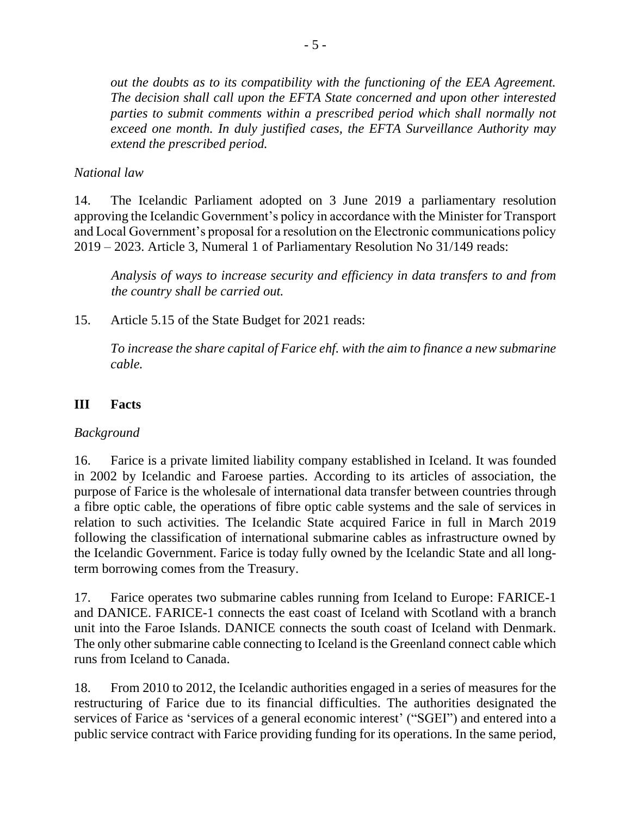*out the doubts as to its compatibility with the functioning of the EEA Agreement. The decision shall call upon the EFTA State concerned and upon other interested parties to submit comments within a prescribed period which shall normally not exceed one month. In duly justified cases, the EFTA Surveillance Authority may extend the prescribed period.*

### *National law*

14. The Icelandic Parliament adopted on 3 June 2019 a parliamentary resolution approving the Icelandic Government's policy in accordance with the Minister for Transport and Local Government's proposal for a resolution on the Electronic communications policy 2019 – 2023. Article 3, Numeral 1 of Parliamentary Resolution No 31/149 reads:

*Analysis of ways to increase security and efficiency in data transfers to and from the country shall be carried out.*

15. Article 5.15 of the State Budget for 2021 reads:

*To increase the share capital of Farice ehf. with the aim to finance a new submarine cable.*

## **III Facts**

### *Background*

16. Farice is a private limited liability company established in Iceland. It was founded in 2002 by Icelandic and Faroese parties. According to its articles of association, the purpose of Farice is the wholesale of international data transfer between countries through a fibre optic cable, the operations of fibre optic cable systems and the sale of services in relation to such activities. The Icelandic State acquired Farice in full in March 2019 following the classification of international submarine cables as infrastructure owned by the Icelandic Government. Farice is today fully owned by the Icelandic State and all longterm borrowing comes from the Treasury.

17. Farice operates two submarine cables running from Iceland to Europe: FARICE-1 and DANICE. FARICE-1 connects the east coast of Iceland with Scotland with a branch unit into the Faroe Islands. DANICE connects the south coast of Iceland with Denmark. The only other submarine cable connecting to Iceland is the Greenland connect cable which runs from Iceland to Canada.

18. From 2010 to 2012, the Icelandic authorities engaged in a series of measures for the restructuring of Farice due to its financial difficulties. The authorities designated the services of Farice as 'services of a general economic interest' ("SGEI") and entered into a public service contract with Farice providing funding for its operations. In the same period,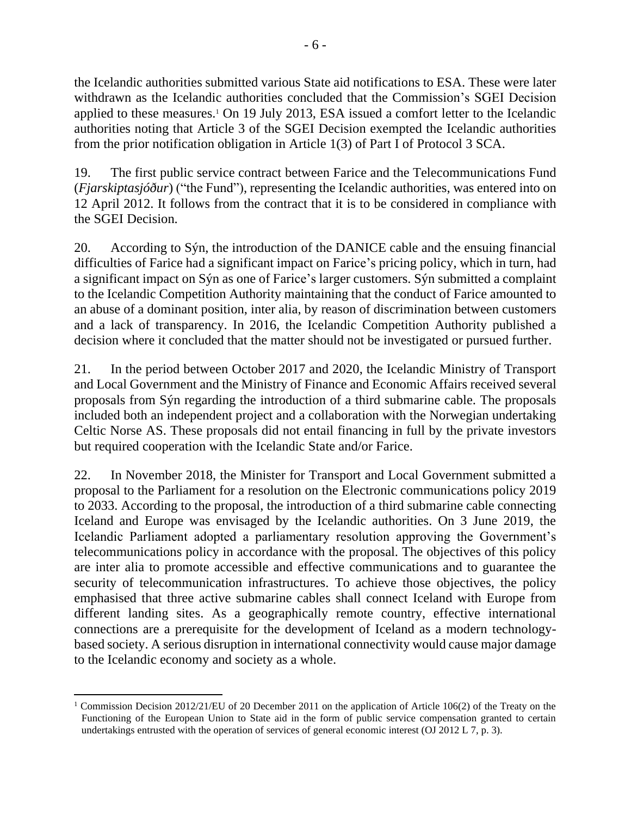the Icelandic authorities submitted various State aid notifications to ESA. These were later withdrawn as the Icelandic authorities concluded that the Commission's SGEI Decision applied to these measures.<sup>1</sup> On 19 July 2013, ESA issued a comfort letter to the Icelandic authorities noting that Article 3 of the SGEI Decision exempted the Icelandic authorities from the prior notification obligation in Article 1(3) of Part I of Protocol 3 SCA.

19. The first public service contract between Farice and the Telecommunications Fund (*Fjarskiptasjóður*) ("the Fund"), representing the Icelandic authorities, was entered into on 12 April 2012. It follows from the contract that it is to be considered in compliance with the SGEI Decision.

20. According to Sýn, the introduction of the DANICE cable and the ensuing financial difficulties of Farice had a significant impact on Farice's pricing policy, which in turn, had a significant impact on Sýn as one of Farice's larger customers. Sýn submitted a complaint to the Icelandic Competition Authority maintaining that the conduct of Farice amounted to an abuse of a dominant position, inter alia, by reason of discrimination between customers and a lack of transparency. In 2016, the Icelandic Competition Authority published a decision where it concluded that the matter should not be investigated or pursued further.

21. In the period between October 2017 and 2020, the Icelandic Ministry of Transport and Local Government and the Ministry of Finance and Economic Affairs received several proposals from Sýn regarding the introduction of a third submarine cable. The proposals included both an independent project and a collaboration with the Norwegian undertaking Celtic Norse AS. These proposals did not entail financing in full by the private investors but required cooperation with the Icelandic State and/or Farice.

22. In November 2018, the Minister for Transport and Local Government submitted a proposal to the Parliament for a resolution on the Electronic communications policy 2019 to 2033. According to the proposal, the introduction of a third submarine cable connecting Iceland and Europe was envisaged by the Icelandic authorities. On 3 June 2019, the Icelandic Parliament adopted a parliamentary resolution approving the Government's telecommunications policy in accordance with the proposal. The objectives of this policy are inter alia to promote accessible and effective communications and to guarantee the security of telecommunication infrastructures. To achieve those objectives, the policy emphasised that three active submarine cables shall connect Iceland with Europe from different landing sites. As a geographically remote country, effective international connections are a prerequisite for the development of Iceland as a modern technologybased society. A serious disruption in international connectivity would cause major damage to the Icelandic economy and society as a whole.

<sup>1</sup> Commission Decision 2012/21/EU of 20 December 2011 on the application of Article 106(2) of the Treaty on the Functioning of the European Union to State aid in the form of public service compensation granted to certain undertakings entrusted with the operation of services of general economic interest (OJ 2012 L 7, p. 3).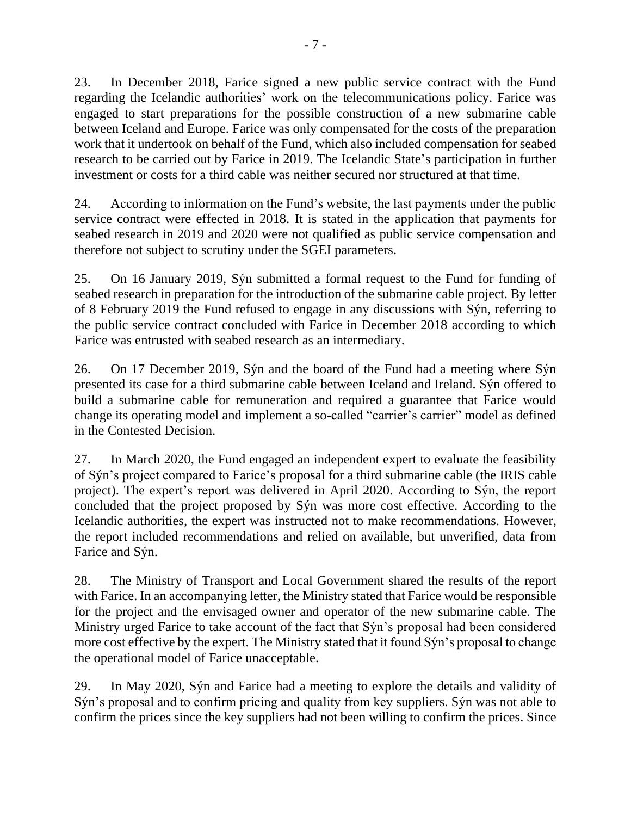23. In December 2018, Farice signed a new public service contract with the Fund regarding the Icelandic authorities' work on the telecommunications policy. Farice was engaged to start preparations for the possible construction of a new submarine cable between Iceland and Europe. Farice was only compensated for the costs of the preparation work that it undertook on behalf of the Fund, which also included compensation for seabed research to be carried out by Farice in 2019. The Icelandic State's participation in further investment or costs for a third cable was neither secured nor structured at that time.

24. According to information on the Fund's website, the last payments under the public service contract were effected in 2018. It is stated in the application that payments for seabed research in 2019 and 2020 were not qualified as public service compensation and therefore not subject to scrutiny under the SGEI parameters.

25. On 16 January 2019, Sýn submitted a formal request to the Fund for funding of seabed research in preparation for the introduction of the submarine cable project. By letter of 8 February 2019 the Fund refused to engage in any discussions with Sýn, referring to the public service contract concluded with Farice in December 2018 according to which Farice was entrusted with seabed research as an intermediary.

26. On 17 December 2019, Sýn and the board of the Fund had a meeting where Sýn presented its case for a third submarine cable between Iceland and Ireland. Sýn offered to build a submarine cable for remuneration and required a guarantee that Farice would change its operating model and implement a so-called "carrier's carrier" model as defined in the Contested Decision.

27. In March 2020, the Fund engaged an independent expert to evaluate the feasibility of Sýn's project compared to Farice's proposal for a third submarine cable (the IRIS cable project). The expert's report was delivered in April 2020. According to Sýn, the report concluded that the project proposed by Sýn was more cost effective. According to the Icelandic authorities, the expert was instructed not to make recommendations. However, the report included recommendations and relied on available, but unverified, data from Farice and Sýn.

28. The Ministry of Transport and Local Government shared the results of the report with Farice. In an accompanying letter, the Ministry stated that Farice would be responsible for the project and the envisaged owner and operator of the new submarine cable. The Ministry urged Farice to take account of the fact that Sýn's proposal had been considered more cost effective by the expert. The Ministry stated that it found Sýn's proposal to change the operational model of Farice unacceptable.

29. In May 2020, Sýn and Farice had a meeting to explore the details and validity of Sýn's proposal and to confirm pricing and quality from key suppliers. Sýn was not able to confirm the prices since the key suppliers had not been willing to confirm the prices. Since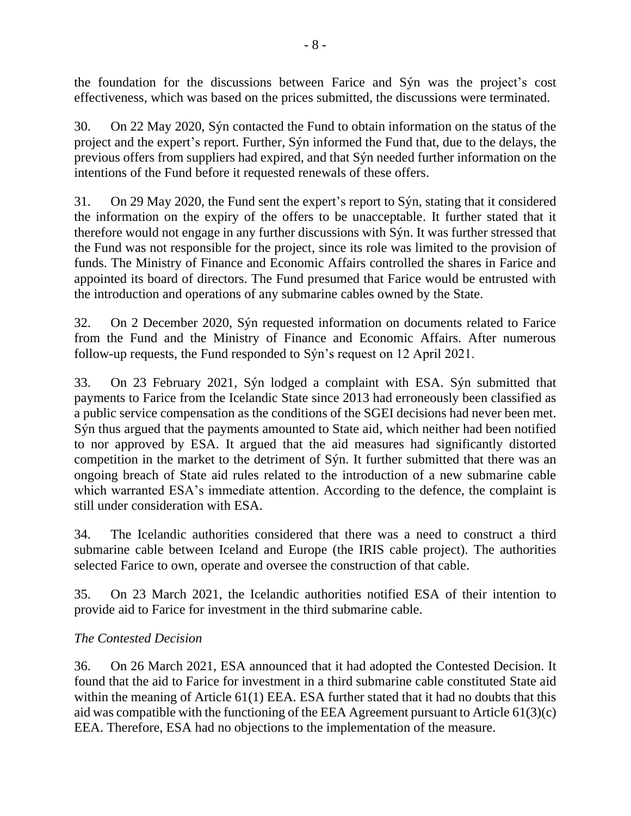the foundation for the discussions between Farice and Sýn was the project's cost effectiveness, which was based on the prices submitted, the discussions were terminated.

30. On 22 May 2020, Sýn contacted the Fund to obtain information on the status of the project and the expert's report. Further, Sýn informed the Fund that, due to the delays, the previous offers from suppliers had expired, and that Sýn needed further information on the intentions of the Fund before it requested renewals of these offers.

31. On 29 May 2020, the Fund sent the expert's report to Sýn, stating that it considered the information on the expiry of the offers to be unacceptable. It further stated that it therefore would not engage in any further discussions with Sýn. It was further stressed that the Fund was not responsible for the project, since its role was limited to the provision of funds. The Ministry of Finance and Economic Affairs controlled the shares in Farice and appointed its board of directors. The Fund presumed that Farice would be entrusted with the introduction and operations of any submarine cables owned by the State.

32. On 2 December 2020, Sýn requested information on documents related to Farice from the Fund and the Ministry of Finance and Economic Affairs. After numerous follow-up requests, the Fund responded to Sýn's request on 12 April 2021.

33. On 23 February 2021, Sýn lodged a complaint with ESA. Sýn submitted that payments to Farice from the Icelandic State since 2013 had erroneously been classified as a public service compensation as the conditions of the SGEI decisions had never been met. Sýn thus argued that the payments amounted to State aid, which neither had been notified to nor approved by ESA. It argued that the aid measures had significantly distorted competition in the market to the detriment of Sýn. It further submitted that there was an ongoing breach of State aid rules related to the introduction of a new submarine cable which warranted ESA's immediate attention. According to the defence, the complaint is still under consideration with ESA.

34. The Icelandic authorities considered that there was a need to construct a third submarine cable between Iceland and Europe (the IRIS cable project). The authorities selected Farice to own, operate and oversee the construction of that cable.

35. On 23 March 2021, the Icelandic authorities notified ESA of their intention to provide aid to Farice for investment in the third submarine cable.

## *The Contested Decision*

36. On 26 March 2021, ESA announced that it had adopted the Contested Decision. It found that the aid to Farice for investment in a third submarine cable constituted State aid within the meaning of Article 61(1) EEA. ESA further stated that it had no doubts that this aid was compatible with the functioning of the EEA Agreement pursuant to Article 61(3)(c) EEA. Therefore, ESA had no objections to the implementation of the measure.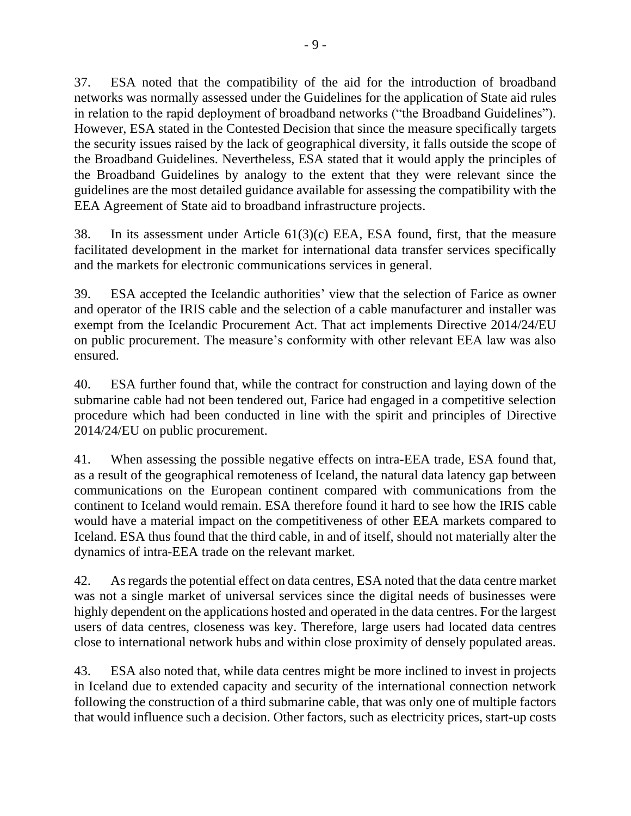37. ESA noted that the compatibility of the aid for the introduction of broadband networks was normally assessed under the Guidelines for the application of State aid rules in relation to the rapid deployment of broadband networks ("the Broadband Guidelines"). However, ESA stated in the Contested Decision that since the measure specifically targets the security issues raised by the lack of geographical diversity, it falls outside the scope of the Broadband Guidelines. Nevertheless, ESA stated that it would apply the principles of the Broadband Guidelines by analogy to the extent that they were relevant since the guidelines are the most detailed guidance available for assessing the compatibility with the EEA Agreement of State aid to broadband infrastructure projects.

38. In its assessment under Article 61(3)(c) EEA, ESA found, first, that the measure facilitated development in the market for international data transfer services specifically and the markets for electronic communications services in general.

39. ESA accepted the Icelandic authorities' view that the selection of Farice as owner and operator of the IRIS cable and the selection of a cable manufacturer and installer was exempt from the Icelandic Procurement Act. That act implements Directive 2014/24/EU on public procurement. The measure's conformity with other relevant EEA law was also ensured.

40. ESA further found that, while the contract for construction and laying down of the submarine cable had not been tendered out, Farice had engaged in a competitive selection procedure which had been conducted in line with the spirit and principles of Directive 2014/24/EU on public procurement.

41. When assessing the possible negative effects on intra-EEA trade, ESA found that, as a result of the geographical remoteness of Iceland, the natural data latency gap between communications on the European continent compared with communications from the continent to Iceland would remain. ESA therefore found it hard to see how the IRIS cable would have a material impact on the competitiveness of other EEA markets compared to Iceland. ESA thus found that the third cable, in and of itself, should not materially alter the dynamics of intra-EEA trade on the relevant market.

42. As regards the potential effect on data centres, ESA noted that the data centre market was not a single market of universal services since the digital needs of businesses were highly dependent on the applications hosted and operated in the data centres. For the largest users of data centres, closeness was key. Therefore, large users had located data centres close to international network hubs and within close proximity of densely populated areas.

43. ESA also noted that, while data centres might be more inclined to invest in projects in Iceland due to extended capacity and security of the international connection network following the construction of a third submarine cable, that was only one of multiple factors that would influence such a decision. Other factors, such as electricity prices, start-up costs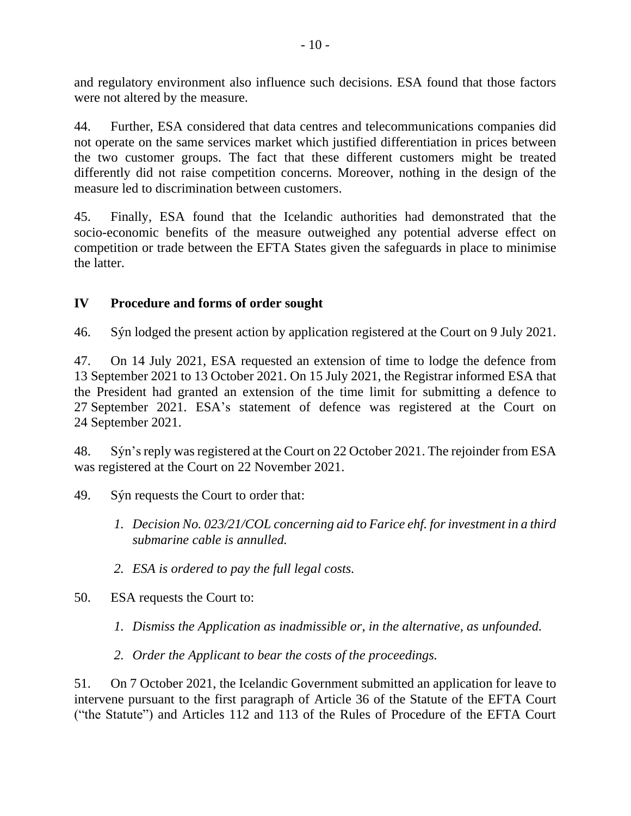and regulatory environment also influence such decisions. ESA found that those factors were not altered by the measure.

44. Further, ESA considered that data centres and telecommunications companies did not operate on the same services market which justified differentiation in prices between the two customer groups. The fact that these different customers might be treated differently did not raise competition concerns. Moreover, nothing in the design of the measure led to discrimination between customers.

45. Finally, ESA found that the Icelandic authorities had demonstrated that the socio-economic benefits of the measure outweighed any potential adverse effect on competition or trade between the EFTA States given the safeguards in place to minimise the latter.

## **IV Procedure and forms of order sought**

46. Sýn lodged the present action by application registered at the Court on 9 July 2021.

47. On 14 July 2021, ESA requested an extension of time to lodge the defence from 13 September 2021 to 13 October 2021. On 15 July 2021, the Registrar informed ESA that the President had granted an extension of the time limit for submitting a defence to 27 September 2021. ESA's statement of defence was registered at the Court on 24 September 2021.

48. Sýn'sreply was registered at the Court on 22 October 2021. The rejoinder from ESA was registered at the Court on 22 November 2021.

- 49. Sýn requests the Court to order that:
	- *1. Decision No. 023/21/COL concerning aid to Farice ehf. for investment in a third submarine cable is annulled.*
	- *2. ESA is ordered to pay the full legal costs.*
- 50. ESA requests the Court to:
	- *1. Dismiss the Application as inadmissible or, in the alternative, as unfounded.*
	- *2. Order the Applicant to bear the costs of the proceedings.*

51. On 7 October 2021, the Icelandic Government submitted an application for leave to intervene pursuant to the first paragraph of Article 36 of the Statute of the EFTA Court ("the Statute") and Articles 112 and 113 of the Rules of Procedure of the EFTA Court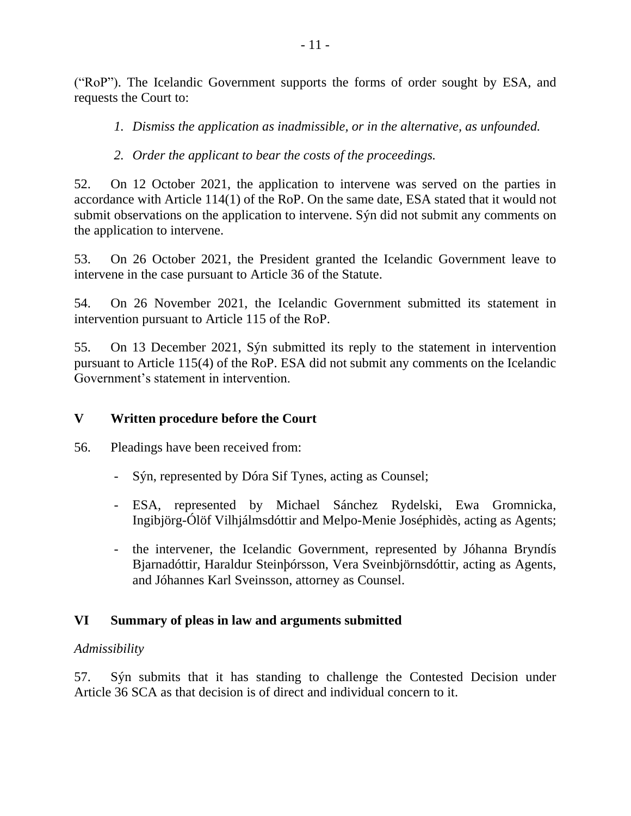("RoP"). The Icelandic Government supports the forms of order sought by ESA, and requests the Court to:

*1. Dismiss the application as inadmissible, or in the alternative, as unfounded.* 

*2. Order the applicant to bear the costs of the proceedings.*

52. On 12 October 2021, the application to intervene was served on the parties in accordance with Article 114(1) of the RoP. On the same date, ESA stated that it would not submit observations on the application to intervene. Sýn did not submit any comments on the application to intervene.

53. On 26 October 2021, the President granted the Icelandic Government leave to intervene in the case pursuant to Article 36 of the Statute.

54. On 26 November 2021, the Icelandic Government submitted its statement in intervention pursuant to Article 115 of the RoP.

55. On 13 December 2021, Sýn submitted its reply to the statement in intervention pursuant to Article 115(4) of the RoP. ESA did not submit any comments on the Icelandic Government's statement in intervention.

# **V Written procedure before the Court**

56. Pleadings have been received from:

- Sýn, represented by Dóra Sif Tynes, acting as Counsel;
- ESA, represented by Michael Sánchez Rydelski, Ewa Gromnicka, Ingibjörg-Ólöf Vilhjálmsdóttir and Melpo-Menie Joséphidès, acting as Agents;
- the intervener, the Icelandic Government, represented by Jóhanna Bryndís Bjarnadóttir, Haraldur Steinþórsson, Vera Sveinbjörnsdóttir, acting as Agents, and Jóhannes Karl Sveinsson, attorney as Counsel.

# **VI Summary of pleas in law and arguments submitted**

# *Admissibility*

57. Sýn submits that it has standing to challenge the Contested Decision under Article 36 SCA as that decision is of direct and individual concern to it.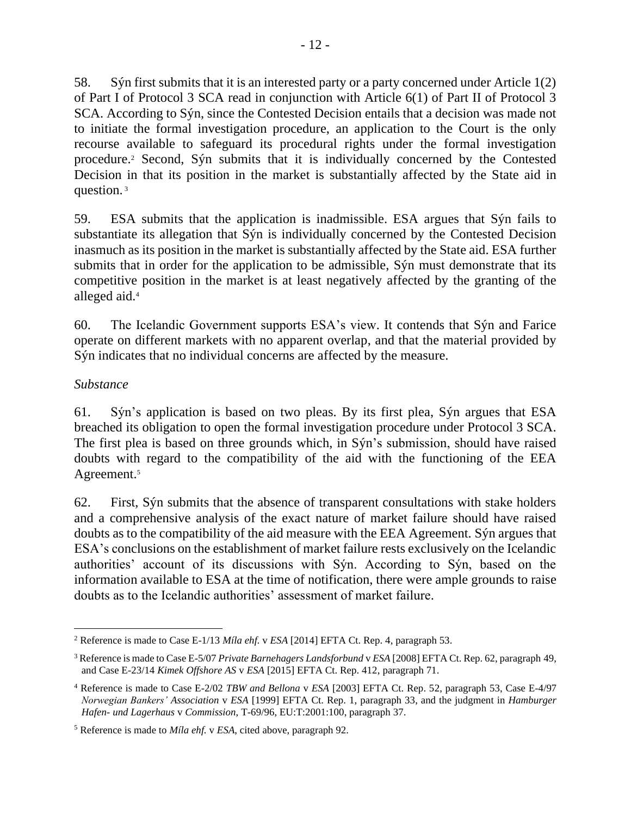58. Sýn first submits that it is an interested party or a party concerned under Article 1(2) of Part I of Protocol 3 SCA read in conjunction with Article 6(1) of Part II of Protocol 3 SCA. According to Sýn, since the Contested Decision entails that a decision was made not to initiate the formal investigation procedure, an application to the Court is the only recourse available to safeguard its procedural rights under the formal investigation procedure.<sup>2</sup> Second, Sýn submits that it is individually concerned by the Contested Decision in that its position in the market is substantially affected by the State aid in question. <sup>3</sup>

59. ESA submits that the application is inadmissible. ESA argues that Sýn fails to substantiate its allegation that Sýn is individually concerned by the Contested Decision inasmuch as its position in the market is substantially affected by the State aid. ESA further submits that in order for the application to be admissible, Sýn must demonstrate that its competitive position in the market is at least negatively affected by the granting of the alleged aid. 4

60. The Icelandic Government supports ESA's view. It contends that Sýn and Farice operate on different markets with no apparent overlap, and that the material provided by Sýn indicates that no individual concerns are affected by the measure.

## *Substance*

61. Sýn's application is based on two pleas. By its first plea, Sýn argues that ESA breached its obligation to open the formal investigation procedure under Protocol 3 SCA. The first plea is based on three grounds which, in Sýn's submission, should have raised doubts with regard to the compatibility of the aid with the functioning of the EEA Agreement.<sup>5</sup>

62. First, Sýn submits that the absence of transparent consultations with stake holders and a comprehensive analysis of the exact nature of market failure should have raised doubts as to the compatibility of the aid measure with the EEA Agreement. Sýn argues that ESA's conclusions on the establishment of market failure rests exclusively on the Icelandic authorities' account of its discussions with Sýn. According to Sýn, based on the information available to ESA at the time of notification, there were ample grounds to raise doubts as to the Icelandic authorities' assessment of market failure.

<sup>2</sup> Reference is made to Case E-1/13 *Míla ehf.* v *ESA* [2014] EFTA Ct. Rep. 4, paragraph 53.

<sup>3</sup> Reference is made to Case E-5/07 *Private Barnehagers Landsforbund* v *ESA* [2008] EFTA Ct. Rep. 62, paragraph 49, and Case E-23/14 *Kimek Offshore AS* v *ESA* [2015] EFTA Ct. Rep. 412, paragraph 71.

<sup>4</sup> Reference is made to Case E-2/02 *TBW and Bellona* v *ESA* [2003] EFTA Ct. Rep. 52, paragraph 53, Case E-4/97 *Norwegian Bankers' Association* v *ESA* [1999] EFTA Ct. Rep. 1, paragraph 33, and the judgment in *Hamburger Hafen- und Lagerhaus* v *Commission*, T-69/96, EU:T:2001:100, paragraph 37.

<sup>5</sup> Reference is made to *Míla ehf.* v *ESA*, cited above, paragraph 92.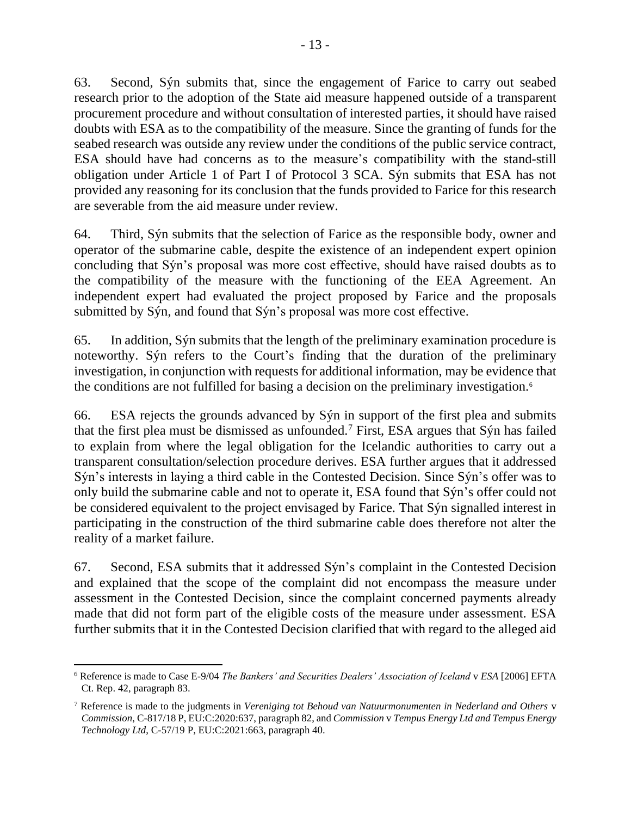63. Second, Sýn submits that, since the engagement of Farice to carry out seabed research prior to the adoption of the State aid measure happened outside of a transparent procurement procedure and without consultation of interested parties, it should have raised doubts with ESA as to the compatibility of the measure. Since the granting of funds for the seabed research was outside any review under the conditions of the public service contract, ESA should have had concerns as to the measure's compatibility with the stand-still obligation under Article 1 of Part I of Protocol 3 SCA. Sýn submits that ESA has not provided any reasoning for its conclusion that the funds provided to Farice for this research are severable from the aid measure under review.

64. Third, Sýn submits that the selection of Farice as the responsible body, owner and operator of the submarine cable, despite the existence of an independent expert opinion concluding that Sýn's proposal was more cost effective, should have raised doubts as to the compatibility of the measure with the functioning of the EEA Agreement. An independent expert had evaluated the project proposed by Farice and the proposals submitted by Sýn, and found that Sýn's proposal was more cost effective.

65. In addition, Sýn submits that the length of the preliminary examination procedure is noteworthy. Sýn refers to the Court's finding that the duration of the preliminary investigation, in conjunction with requests for additional information, may be evidence that the conditions are not fulfilled for basing a decision on the preliminary investigation.<sup>6</sup>

66. ESA rejects the grounds advanced by Sýn in support of the first plea and submits that the first plea must be dismissed as unfounded.<sup>7</sup> First, ESA argues that Sýn has failed to explain from where the legal obligation for the Icelandic authorities to carry out a transparent consultation/selection procedure derives. ESA further argues that it addressed Sýn's interests in laying a third cable in the Contested Decision. Since Sýn's offer was to only build the submarine cable and not to operate it, ESA found that Sýn's offer could not be considered equivalent to the project envisaged by Farice. That Sýn signalled interest in participating in the construction of the third submarine cable does therefore not alter the reality of a market failure.

67. Second, ESA submits that it addressed Sýn's complaint in the Contested Decision and explained that the scope of the complaint did not encompass the measure under assessment in the Contested Decision, since the complaint concerned payments already made that did not form part of the eligible costs of the measure under assessment. ESA further submits that it in the Contested Decision clarified that with regard to the alleged aid

<sup>6</sup> Reference is made to Case E-9/04 *The Bankers' and Securities Dealers' Association of Iceland* v *ESA* [2006] EFTA Ct. Rep. 42, paragraph 83.

<sup>7</sup> Reference is made to the judgments in *Vereniging tot Behoud van Natuurmonumenten in Nederland and Others* v *Commission*, C-817/18 P, EU:C:2020:637, paragraph 82, and *Commission* v *Tempus Energy Ltd and Tempus Energy Technology Ltd*, C-57/19 P, EU:C:2021:663, paragraph 40.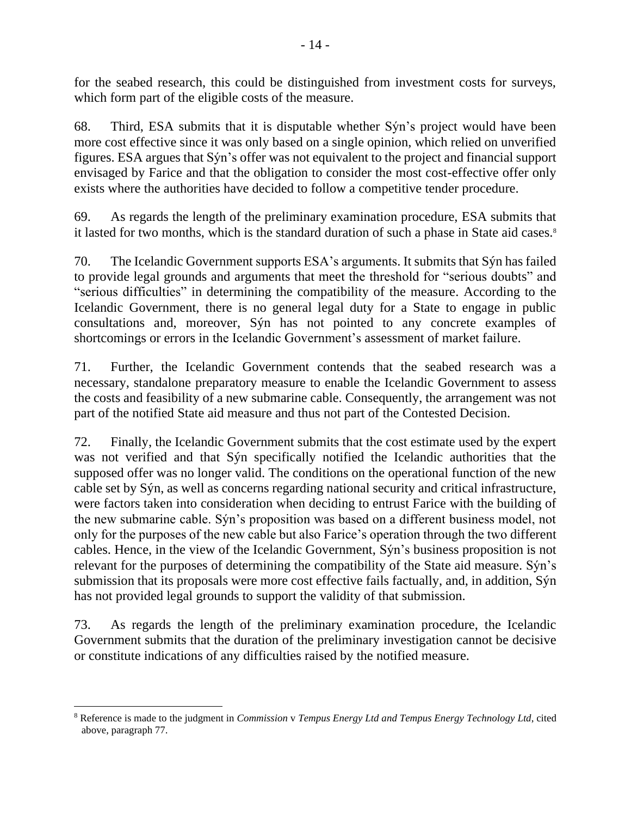for the seabed research, this could be distinguished from investment costs for surveys, which form part of the eligible costs of the measure.

68. Third, ESA submits that it is disputable whether Sýn's project would have been more cost effective since it was only based on a single opinion, which relied on unverified figures. ESA argues that Sýn's offer was not equivalent to the project and financial support envisaged by Farice and that the obligation to consider the most cost-effective offer only exists where the authorities have decided to follow a competitive tender procedure.

69. As regards the length of the preliminary examination procedure, ESA submits that it lasted for two months, which is the standard duration of such a phase in State aid cases.<sup>8</sup>

70. The Icelandic Government supports ESA's arguments. It submits that Sýn has failed to provide legal grounds and arguments that meet the threshold for "serious doubts" and "serious difficulties" in determining the compatibility of the measure. According to the Icelandic Government, there is no general legal duty for a State to engage in public consultations and, moreover, Sýn has not pointed to any concrete examples of shortcomings or errors in the Icelandic Government's assessment of market failure.

71. Further, the Icelandic Government contends that the seabed research was a necessary, standalone preparatory measure to enable the Icelandic Government to assess the costs and feasibility of a new submarine cable. Consequently, the arrangement was not part of the notified State aid measure and thus not part of the Contested Decision.

72. Finally, the Icelandic Government submits that the cost estimate used by the expert was not verified and that Sýn specifically notified the Icelandic authorities that the supposed offer was no longer valid. The conditions on the operational function of the new cable set by Sýn, as well as concerns regarding national security and critical infrastructure, were factors taken into consideration when deciding to entrust Farice with the building of the new submarine cable. Sýn's proposition was based on a different business model, not only for the purposes of the new cable but also Farice's operation through the two different cables. Hence, in the view of the Icelandic Government, Sýn's business proposition is not relevant for the purposes of determining the compatibility of the State aid measure. Sýn's submission that its proposals were more cost effective fails factually, and, in addition, Sýn has not provided legal grounds to support the validity of that submission.

73. As regards the length of the preliminary examination procedure, the Icelandic Government submits that the duration of the preliminary investigation cannot be decisive or constitute indications of any difficulties raised by the notified measure.

<sup>8</sup> Reference is made to the judgment in *Commission* v *Tempus Energy Ltd and Tempus Energy Technology Ltd*, cited above, paragraph 77.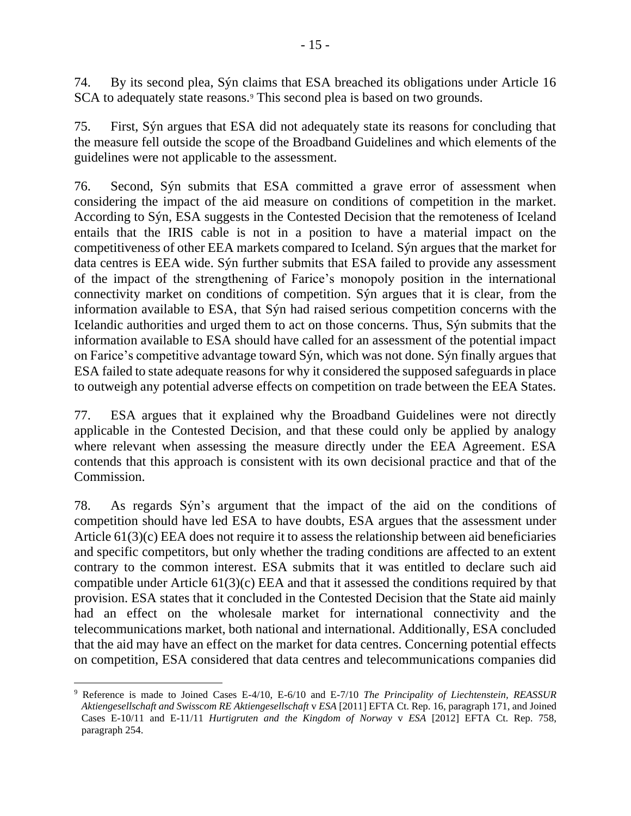74. By its second plea, Sýn claims that ESA breached its obligations under Article 16 SCA to adequately state reasons.<sup>9</sup> This second plea is based on two grounds.

75. First, Sýn argues that ESA did not adequately state its reasons for concluding that the measure fell outside the scope of the Broadband Guidelines and which elements of the guidelines were not applicable to the assessment.

76. Second, Sýn submits that ESA committed a grave error of assessment when considering the impact of the aid measure on conditions of competition in the market. According to Sýn, ESA suggests in the Contested Decision that the remoteness of Iceland entails that the IRIS cable is not in a position to have a material impact on the competitiveness of other EEA markets compared to Iceland. Sýn argues that the market for data centres is EEA wide. Sýn further submits that ESA failed to provide any assessment of the impact of the strengthening of Farice's monopoly position in the international connectivity market on conditions of competition. Sýn argues that it is clear, from the information available to ESA, that Sýn had raised serious competition concerns with the Icelandic authorities and urged them to act on those concerns. Thus, Sýn submits that the information available to ESA should have called for an assessment of the potential impact on Farice's competitive advantage toward Sýn, which was not done. Sýn finally argues that ESA failed to state adequate reasons for why it considered the supposed safeguards in place to outweigh any potential adverse effects on competition on trade between the EEA States.

77. ESA argues that it explained why the Broadband Guidelines were not directly applicable in the Contested Decision, and that these could only be applied by analogy where relevant when assessing the measure directly under the EEA Agreement. ESA contends that this approach is consistent with its own decisional practice and that of the Commission.

78. As regards Sýn's argument that the impact of the aid on the conditions of competition should have led ESA to have doubts, ESA argues that the assessment under Article 61(3)(c) EEA does not require it to assess the relationship between aid beneficiaries and specific competitors, but only whether the trading conditions are affected to an extent contrary to the common interest. ESA submits that it was entitled to declare such aid compatible under Article 61(3)(c) EEA and that it assessed the conditions required by that provision. ESA states that it concluded in the Contested Decision that the State aid mainly had an effect on the wholesale market for international connectivity and the telecommunications market, both national and international. Additionally, ESA concluded that the aid may have an effect on the market for data centres. Concerning potential effects on competition, ESA considered that data centres and telecommunications companies did

<sup>9</sup> Reference is made to Joined Cases E-4/10, E-6/10 and E-7/10 *The Principality of Liechtenstein, REASSUR Aktiengesellschaft and Swisscom RE Aktiengesellschaft* v *ESA* [2011] EFTA Ct. Rep. 16, paragraph 171, and Joined Cases E-10/11 and E-11/11 *Hurtigruten and the Kingdom of Norway* v *ESA* [2012] EFTA Ct. Rep. 758, paragraph 254.